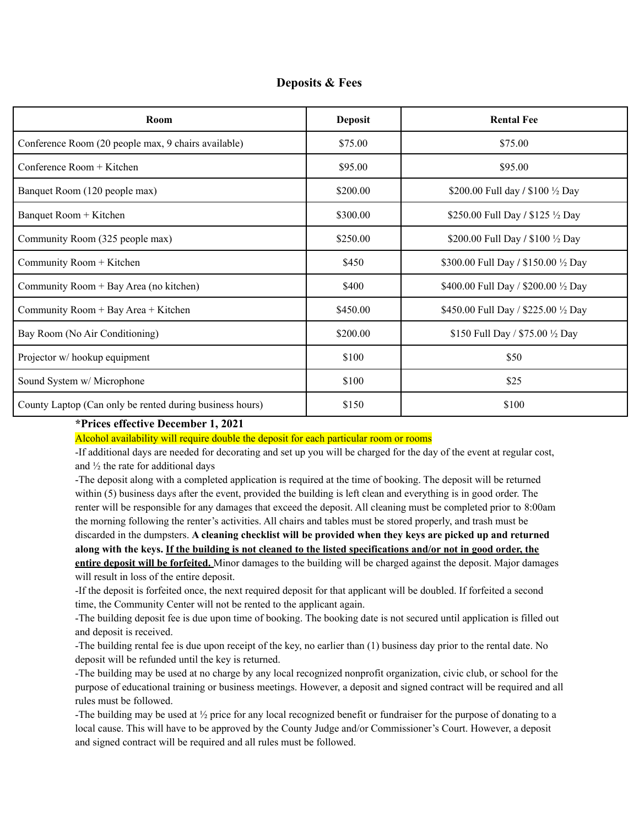| <b>Deposits &amp; Fees</b> |  |  |
|----------------------------|--|--|
|----------------------------|--|--|

| Room                                                     | <b>Deposit</b> | <b>Rental Fee</b>                    |
|----------------------------------------------------------|----------------|--------------------------------------|
| Conference Room (20 people max, 9 chairs available)      | \$75.00        | \$75.00                              |
| Conference Room $+$ Kitchen                              | \$95.00        | \$95.00                              |
| Banquet Room (120 people max)                            | \$200.00       | \$200.00 Full day / \$100 1/2 Day    |
| Banquet Room + Kitchen                                   | \$300.00       | \$250.00 Full Day / \$125 1/2 Day    |
| Community Room (325 people max)                          | \$250.00       | \$200.00 Full Day / \$100 1/2 Day    |
| Community Room + Kitchen                                 | \$450          | \$300.00 Full Day / \$150.00 1/2 Day |
| Community Room + Bay Area (no kitchen)                   | \$400          | \$400.00 Full Day / \$200.00 1/2 Day |
| Community Room + Bay Area + Kitchen                      | \$450.00       | \$450.00 Full Day / \$225.00 1/2 Day |
| Bay Room (No Air Conditioning)                           | \$200.00       | \$150 Full Day / \$75.00 1/2 Day     |
| Projector w/hookup equipment                             | \$100          | \$50                                 |
| Sound System w/ Microphone                               | \$100          | \$25                                 |
| County Laptop (Can only be rented during business hours) | \$150          | \$100                                |

## **\*Prices effective December 1, 2021**

Alcohol availability will require double the deposit for each particular room or rooms

-If additional days are needed for decorating and set up you will be charged for the day of the event at regular cost, and  $\frac{1}{2}$  the rate for additional days

-The deposit along with a completed application is required at the time of booking. The deposit will be returned within (5) business days after the event, provided the building is left clean and everything is in good order. The renter will be responsible for any damages that exceed the deposit. All cleaning must be completed prior to 8:00am the morning following the renter's activities. All chairs and tables must be stored properly, and trash must be discarded in the dumpsters. **A cleaning checklist will be provided when they keys are picked up and returned** along with the keys. If the building is not cleaned to the listed specifications and/or not in good order, the **entire deposit will be forfeited.** Minor damages to the building will be charged against the deposit. Major damages will result in loss of the entire deposit.

-If the deposit is forfeited once, the next required deposit for that applicant will be doubled. If forfeited a second time, the Community Center will not be rented to the applicant again.

-The building deposit fee is due upon time of booking. The booking date is not secured until application is filled out and deposit is received.

-The building rental fee is due upon receipt of the key, no earlier than (1) business day prior to the rental date. No deposit will be refunded until the key is returned.

-The building may be used at no charge by any local recognized nonprofit organization, civic club, or school for the purpose of educational training or business meetings. However, a deposit and signed contract will be required and all rules must be followed.

-The building may be used at ½ price for any local recognized benefit or fundraiser for the purpose of donating to a local cause. This will have to be approved by the County Judge and/or Commissioner's Court. However, a deposit and signed contract will be required and all rules must be followed.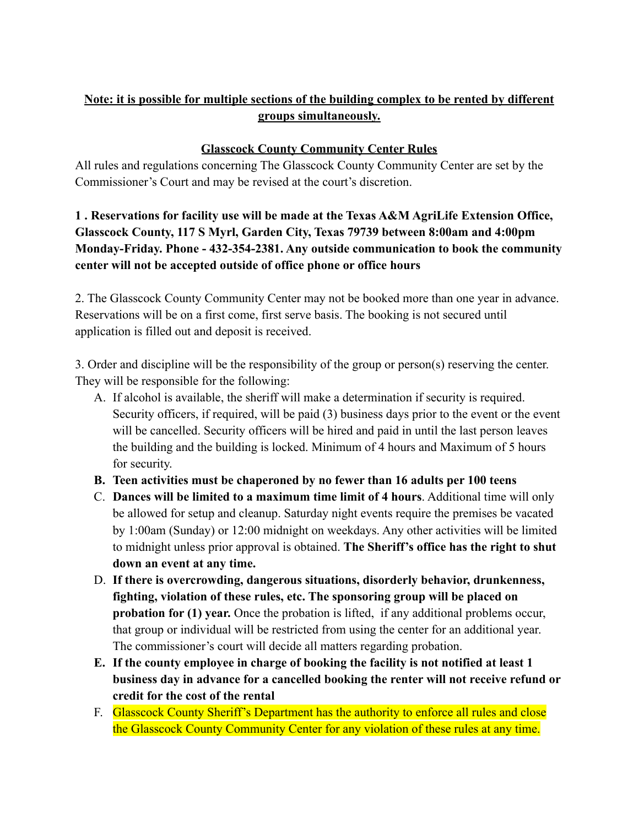## **Note: it is possible for multiple sections of the building complex to be rented by different groups simultaneously.**

## **Glasscock County Community Center Rules**

All rules and regulations concerning The Glasscock County Community Center are set by the Commissioner's Court and may be revised at the court's discretion.

**1 . Reservations for facility use will be made at the Texas A&M AgriLife Extension Office, Glasscock County, 117 S Myrl, Garden City, Texas 79739 between 8:00am and 4:00pm Monday-Friday. Phone - 432-354-2381. Any outside communication to book the community center will not be accepted outside of office phone or office hours**

2. The Glasscock County Community Center may not be booked more than one year in advance. Reservations will be on a first come, first serve basis. The booking is not secured until application is filled out and deposit is received.

3. Order and discipline will be the responsibility of the group or person(s) reserving the center. They will be responsible for the following:

- A. If alcohol is available, the sheriff will make a determination if security is required. Security officers, if required, will be paid (3) business days prior to the event or the event will be cancelled. Security officers will be hired and paid in until the last person leaves the building and the building is locked. Minimum of 4 hours and Maximum of 5 hours for security.
- **B. Teen activities must be chaperoned by no fewer than 16 adults per 100 teens**
- C. **Dances will be limited to a maximum time limit of 4 hours**. Additional time will only be allowed for setup and cleanup. Saturday night events require the premises be vacated by 1:00am (Sunday) or 12:00 midnight on weekdays. Any other activities will be limited to midnight unless prior approval is obtained. **The Sheriff's office has the right to shut down an event at any time.**
- D. **If there is overcrowding, dangerous situations, disorderly behavior, drunkenness, fighting, violation of these rules, etc. The sponsoring group will be placed on probation for (1) year.** Once the probation is lifted, if any additional problems occur, that group or individual will be restricted from using the center for an additional year. The commissioner's court will decide all matters regarding probation.
- **E. If the county employee in charge of booking the facility is not notified at least 1 business day in advance for a cancelled booking the renter will not receive refund or credit for the cost of the rental**
- F. Glasscock County Sheriff's Department has the authority to enforce all rules and close the Glasscock County Community Center for any violation of these rules at any time.